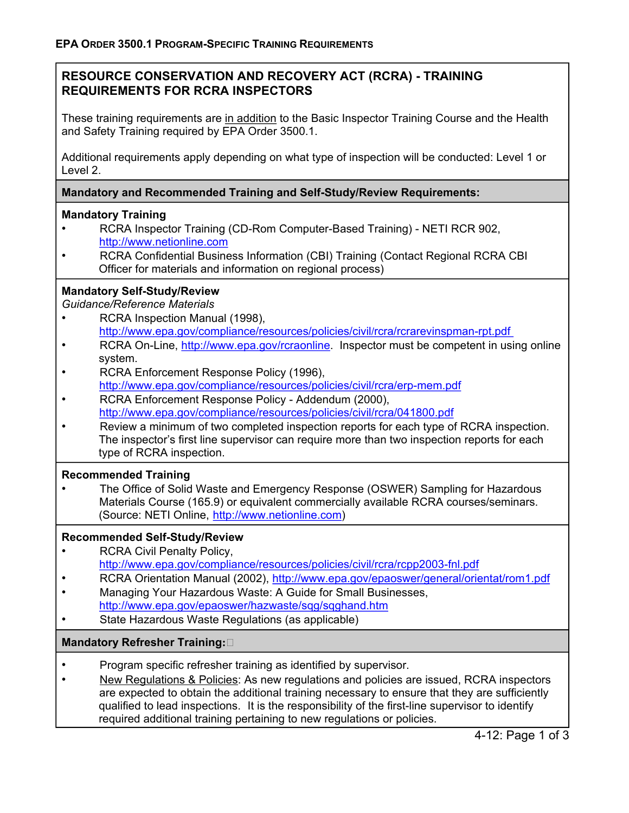## **RESOURCE CONSERVATION AND RECOVERY ACT (RCRA) - TRAINING REQUIREMENTS FOR RCRA INSPECTORS**

These training requirements are in addition to the Basic Inspector Training Course and the Health and Safety Training required by EPA Order 3500.1.

Additional requirements apply depending on what type of inspection will be conducted: Level 1 or Level 2.

### **Mandatory and Recommended Training and Self-Study/Review Requirements:**

### **Mandatory Training**

- RCRA Inspector Training (CD-Rom Computer-Based Training) NETI RCR 902, http://www.netionline.com
- RCRA Confidential Business Information (CBI) Training (Contact Regional RCRA CBI Officer for materials and information on regional process)

## **Mandatory Self-Study/Review**

*Guidance/Reference Materials* 

- RCRA Inspection Manual (1998), http://www.epa.gov/compliance/resources/policies/civil/rcra/rcrarevinspman-rpt.pdf
- RCRA On-Line, http://www.epa.gov/rcraonline. Inspector must be competent in using online system.
- RCRA Enforcement Response Policy (1996), http://www.epa.gov/compliance/resources/policies/civil/rcra/erp-mem.pdf
- RCRA Enforcement Response Policy Addendum (2000), http://www.epa.gov/compliance/resources/policies/civil/rcra/041800.pdf
- Review a minimum of two completed inspection reports for each type of RCRA inspection. The inspector's first line supervisor can require more than two inspection reports for each type of RCRA inspection.

### **Recommended Training**

• The Office of Solid Waste and Emergency Response (OSWER) Sampling for Hazardous Materials Course (165.9) or equivalent commercially available RCRA courses/seminars. (Source: NETI Online, http://www.netionline.com)

### **Recommended Self-Study/Review**

- RCRA Civil Penalty Policy, http://www.epa.gov/compliance/resources/policies/civil/rcra/rcpp2003-fnl.pdf
- RCRA Orientation Manual (2002), http://www.epa.gov/epaoswer/general/orientat/rom1.pdf
- Managing Your Hazardous Waste: A Guide for Small Businesses, http://www.epa.gov/epaoswer/hazwaste/sqg/sqghand.htm
- State Hazardous Waste Regulations (as applicable)

### **Mandatory Refresher Training:**

- Program specific refresher training as identified by supervisor.
- New Regulations & Policies: As new regulations and policies are issued, RCRA inspectors are expected to obtain the additional training necessary to ensure that they are sufficiently qualified to lead inspections. It is the responsibility of the first-line supervisor to identify required additional training pertaining to new regulations or policies.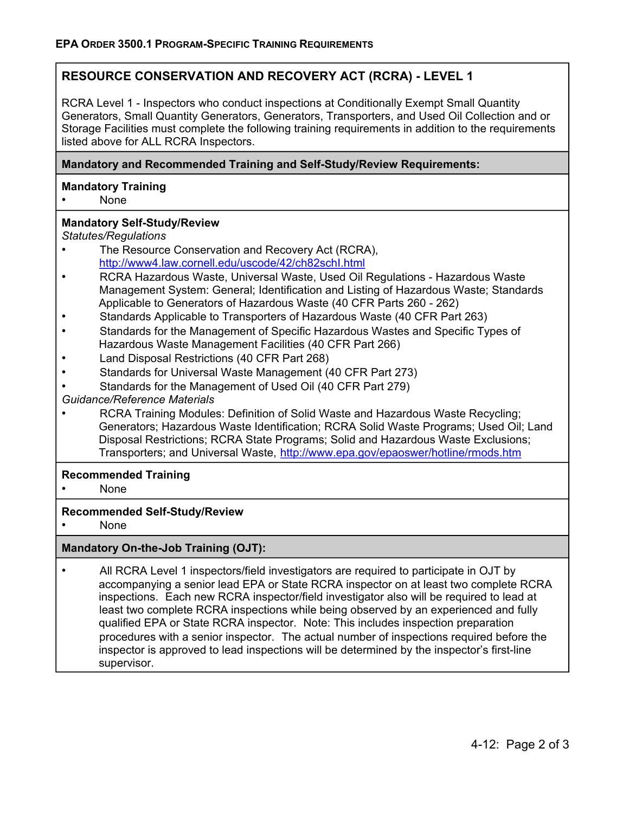# **RESOURCE CONSERVATION AND RECOVERY ACT (RCRA) - LEVEL 1**

RCRA Level 1 - Inspectors who conduct inspections at Conditionally Exempt Small Quantity Generators, Small Quantity Generators, Generators, Transporters, and Used Oil Collection and or Storage Facilities must complete the following training requirements in addition to the requirements listed above for ALL RCRA Inspectors.

### **Mandatory and Recommended Training and Self-Study/Review Requirements:**

#### **Mandatory Training**

• None

#### **Mandatory Self-Study/Review**

*Statutes/Regulations* 

- The Resource Conservation and Recovery Act (RCRA), http://www4.law.cornell.edu/uscode/42/ch82schI.html
- RCRA Hazardous Waste, Universal Waste, Used Oil Regulations Hazardous Waste Management System: General; Identification and Listing of Hazardous Waste; Standards Applicable to Generators of Hazardous Waste (40 CFR Parts 260 - 262)
- Standards Applicable to Transporters of Hazardous Waste (40 CFR Part 263)
- Standards for the Management of Specific Hazardous Wastes and Specific Types of Hazardous Waste Management Facilities (40 CFR Part 266)
- Land Disposal Restrictions (40 CFR Part 268)
- Standards for Universal Waste Management (40 CFR Part 273)
- Standards for the Management of Used Oil (40 CFR Part 279)
- *Guidance/Reference Materials*
- RCRA Training Modules: Definition of Solid Waste and Hazardous Waste Recycling; Generators; Hazardous Waste Identification; RCRA Solid Waste Programs; Used Oil; Land Disposal Restrictions; RCRA State Programs; Solid and Hazardous Waste Exclusions; Transporters; and Universal Waste, http://www.epa.gov/epaoswer/hotline/rmods.htm

#### **Recommended Training**

• None

#### **Recommended Self-Study/Review**

• None

### **Mandatory On-the-Job Training (OJT):**

• All RCRA Level 1 inspectors/field investigators are required to participate in OJT by accompanying a senior lead EPA or State RCRA inspector on at least two complete RCRA inspections. Each new RCRA inspector/field investigator also will be required to lead at least two complete RCRA inspections while being observed by an experienced and fully qualified EPA or State RCRA inspector. Note: This includes inspection preparation procedures with a senior inspector. The actual number of inspections required before the inspector is approved to lead inspections will be determined by the inspector's first-line supervisor.